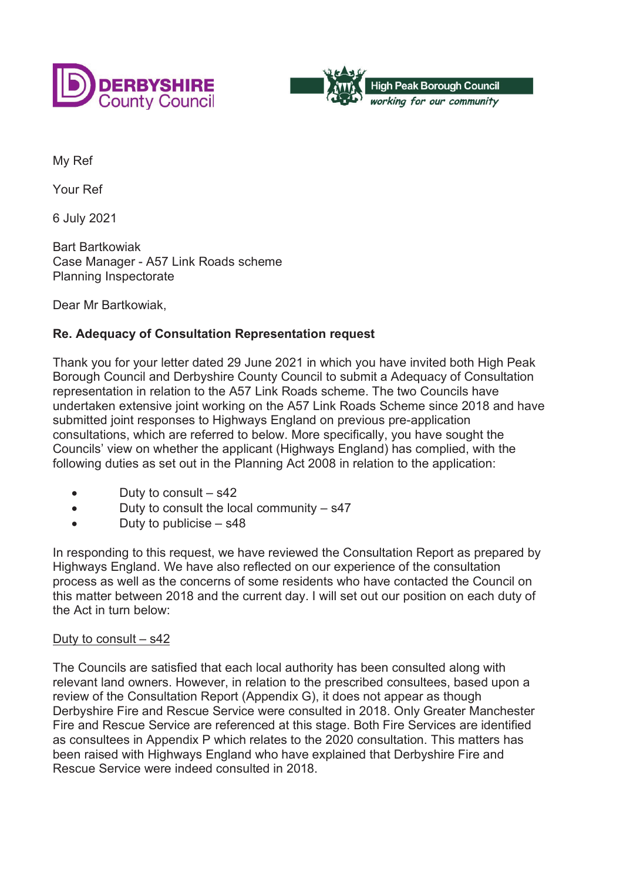



My Ref

Your Ref

6 July 2021

Bart Bartkowiak Case Manager - A57 Link Roads scheme Planning Inspectorate

Dear Mr Bartkowiak,

## **Re. Adequacy of Consultation Representation request**

Thank you for your letter dated 29 June 2021 in which you have invited both High Peak Borough Council and Derbyshire County Council to submit a Adequacy of Consultation representation in relation to the A57 Link Roads scheme. The two Councils have undertaken extensive joint working on the A57 Link Roads Scheme since 2018 and have submitted joint responses to Highways England on previous pre-application consultations, which are referred to below. More specifically, you have sought the Councils' view on whether the applicant (Highways England) has complied, with the following duties as set out in the Planning Act 2008 in relation to the application:

- Duty to consult  $-$  s42
- $\bullet$  Duty to consult the local community  $-$  s47
- Duty to publicise  $-$  s48

In responding to this request, we have reviewed the Consultation Report as prepared by Highways England. We have also reflected on our experience of the consultation process as well as the concerns of some residents who have contacted the Council on this matter between 2018 and the current day. I will set out our position on each duty of the Act in turn below:

## Duty to consult – s42

The Councils are satisfied that each local authority has been consulted along with relevant land owners. However, in relation to the prescribed consultees, based upon a review of the Consultation Report (Appendix G), it does not appear as though Derbyshire Fire and Rescue Service were consulted in 2018. Only Greater Manchester Fire and Rescue Service are referenced at this stage. Both Fire Services are identified as consultees in Appendix P which relates to the 2020 consultation. This matters has been raised with Highways England who have explained that Derbyshire Fire and Rescue Service were indeed consulted in 2018.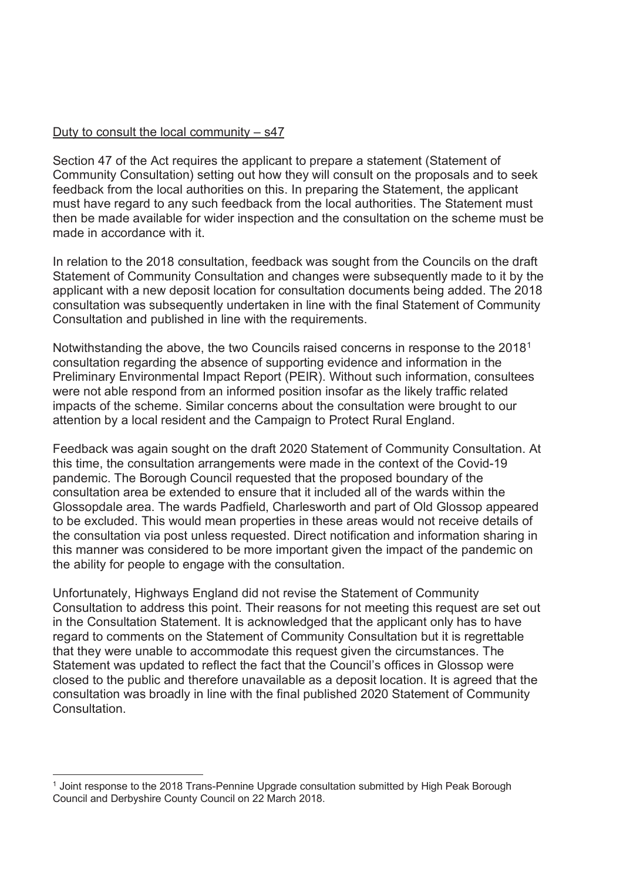## Duty to consult the local community  $-$  s47

Section 47 of the Act requires the applicant to prepare a statement (Statement of Community Consultation) setting out how they will consult on the proposals and to seek feedback from the local authorities on this. In preparing the Statement, the applicant must have regard to any such feedback from the local authorities. The Statement must then be made available for wider inspection and the consultation on the scheme must be made in accordance with it.

In relation to the 2018 consultation, feedback was sought from the Councils on the draft Statement of Community Consultation and changes were subsequently made to it by the applicant with a new deposit location for consultation documents being added. The 2018 consultation was subsequently undertaken in line with the final Statement of Community Consultation and published in line with the requirements.

Notwithstanding the above, the two Councils raised concerns in response to the 20181 consultation regarding the absence of supporting evidence and information in the Preliminary Environmental Impact Report (PEIR). Without such information, consultees were not able respond from an informed position insofar as the likely traffic related impacts of the scheme. Similar concerns about the consultation were brought to our attention by a local resident and the Campaign to Protect Rural England.

Feedback was again sought on the draft 2020 Statement of Community Consultation. At this time, the consultation arrangements were made in the context of the Covid-19 pandemic. The Borough Council requested that the proposed boundary of the consultation area be extended to ensure that it included all of the wards within the Glossopdale area. The wards Padfield, Charlesworth and part of Old Glossop appeared to be excluded. This would mean properties in these areas would not receive details of the consultation via post unless requested. Direct notification and information sharing in this manner was considered to be more important given the impact of the pandemic on the ability for people to engage with the consultation.

Unfortunately, Highways England did not revise the Statement of Community Consultation to address this point. Their reasons for not meeting this request are set out in the Consultation Statement. It is acknowledged that the applicant only has to have regard to comments on the Statement of Community Consultation but it is regrettable that they were unable to accommodate this request given the circumstances. The Statement was updated to reflect the fact that the Council's offices in Glossop were closed to the public and therefore unavailable as a deposit location. It is agreed that the consultation was broadly in line with the final published 2020 Statement of Community **Consultation** 

<sup>1</sup> Joint response to the 2018 Trans-Pennine Upgrade consultation submitted by High Peak Borough Council and Derbyshire County Council on 22 March 2018.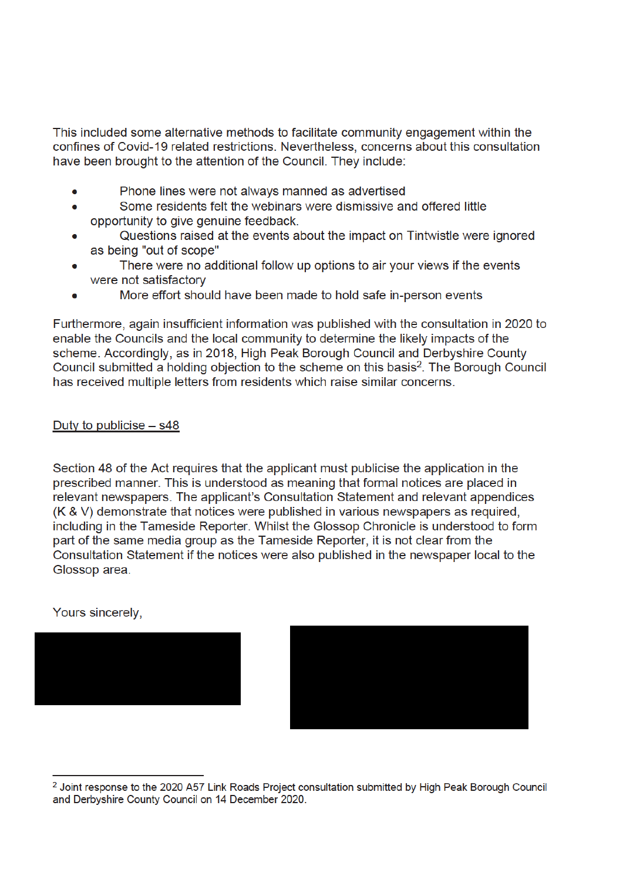This included some alternative methods to facilitate community engagement within the confines of Covid-19 related restrictions. Nevertheless, concerns about this consultation have been brought to the attention of the Council. They include:

- Phone lines were not always manned as advertised
- Some residents felt the webinars were dismissive and offered little  $\bullet$ opportunity to give genuine feedback.
- Questions raised at the events about the impact on Tintwistle were ignored as being "out of scope"
- There were no additional follow up options to air your views if the events were not satisfactory
- More effort should have been made to hold safe in-person events

Furthermore, again insufficient information was published with the consultation in 2020 to enable the Councils and the local community to determine the likely impacts of the scheme. Accordingly, as in 2018, High Peak Borough Council and Derbyshire County Council submitted a holding objection to the scheme on this basis<sup>2</sup>. The Borough Council has received multiple letters from residents which raise similar concerns.

## Duty to publicise  $-$  s48

Section 48 of the Act requires that the applicant must publicise the application in the prescribed manner. This is understood as meaning that formal notices are placed in relevant newspapers. The applicant's Consultation Statement and relevant appendices (K & V) demonstrate that notices were published in various newspapers as required, including in the Tameside Reporter. Whilst the Glossop Chronicle is understood to form part of the same media group as the Tameside Reporter, it is not clear from the Consultation Statement if the notices were also published in the newspaper local to the Glossop area.

Yours sincerely.



<sup>&</sup>lt;sup>2</sup> Joint response to the 2020 A57 Link Roads Project consultation submitted by High Peak Borough Council and Derbyshire County Council on 14 December 2020.